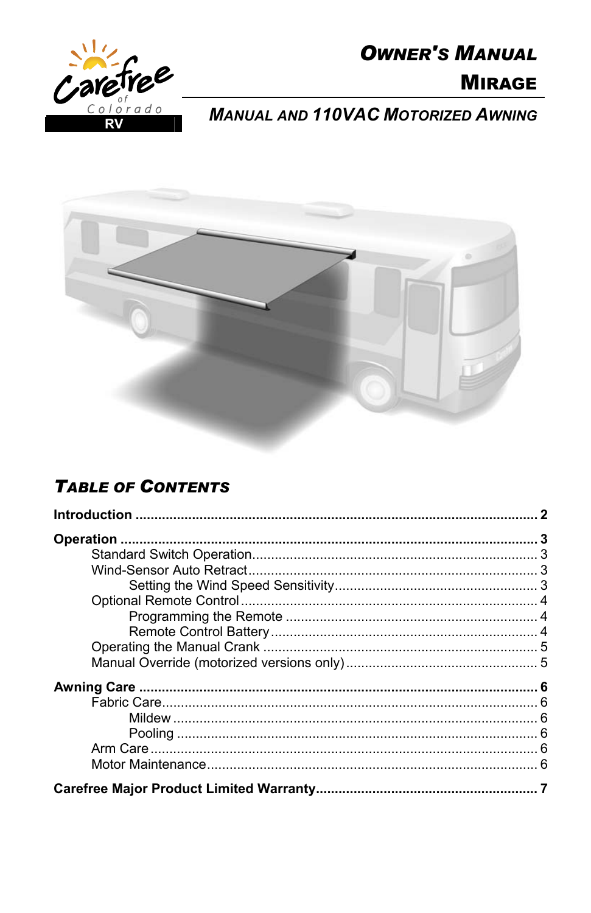

# **OWNER'S MANUAL**

## **MIRAGE**

**MANUAL AND 110VAC MOTORIZED AWNING** 



## **TABLE OF CONTENTS**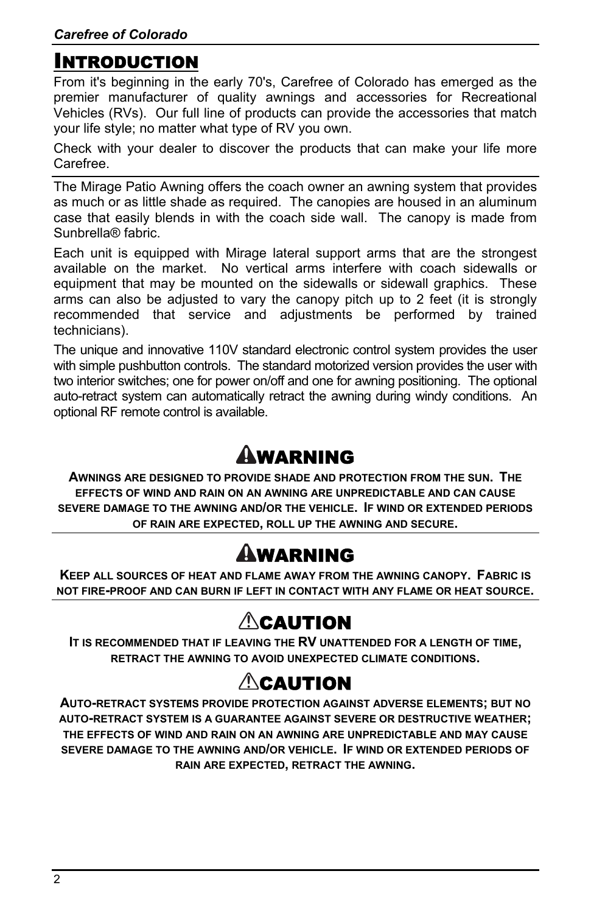### <span id="page-1-0"></span>INTRODUCTION

From it's beginning in the early 70's, Carefree of Colorado has emerged as the premier manufacturer of quality awnings and accessories for Recreational Vehicles (RVs). Our full line of products can provide the accessories that match your life style; no matter what type of RV you own.

Check with your dealer to discover the products that can make your life more Carefree.

The Mirage Patio Awning offers the coach owner an awning system that provides as much or as little shade as required. The canopies are housed in an aluminum case that easily blends in with the coach side wall. The canopy is made from Sunbrella® fabric.

Each unit is equipped with Mirage lateral support arms that are the strongest available on the market. No vertical arms interfere with coach sidewalls or equipment that may be mounted on the sidewalls or sidewall graphics. These arms can also be adjusted to vary the canopy pitch up to 2 feet (it is strongly recommended that service and adjustments be performed by trained technicians).

The unique and innovative 110V standard electronic control system provides the user with simple pushbutton controls. The standard motorized version provides the user with two interior switches; one for power on/off and one for awning positioning. The optional auto-retract system can automatically retract the awning during windy conditions. An optional RF remote control is available.

# WARNING

**AWNINGS ARE DESIGNED TO PROVIDE SHADE AND PROTECTION FROM THE SUN. THE EFFECTS OF WIND AND RAIN ON AN AWNING ARE UNPREDICTABLE AND CAN CAUSE SEVERE DAMAGE TO THE AWNING AND/OR THE VEHICLE. IF WIND OR EXTENDED PERIODS OF RAIN ARE EXPECTED, ROLL UP THE AWNING AND SECURE.** 

# WARNING

**KEEP ALL SOURCES OF HEAT AND FLAME AWAY FROM THE AWNING CANOPY. FABRIC IS NOT FIRE-PROOF AND CAN BURN IF LEFT IN CONTACT WITH ANY FLAME OR HEAT SOURCE.** 

## $\triangle$ CAUTION

**IT IS RECOMMENDED THAT IF LEAVING THE RV UNATTENDED FOR A LENGTH OF TIME, RETRACT THE AWNING TO AVOID UNEXPECTED CLIMATE CONDITIONS.** 

## $\triangle$ caution

**AUTO-RETRACT SYSTEMS PROVIDE PROTECTION AGAINST ADVERSE ELEMENTS; BUT NO AUTO-RETRACT SYSTEM IS A GUARANTEE AGAINST SEVERE OR DESTRUCTIVE WEATHER; THE EFFECTS OF WIND AND RAIN ON AN AWNING ARE UNPREDICTABLE AND MAY CAUSE SEVERE DAMAGE TO THE AWNING AND/OR VEHICLE. IF WIND OR EXTENDED PERIODS OF RAIN ARE EXPECTED, RETRACT THE AWNING.**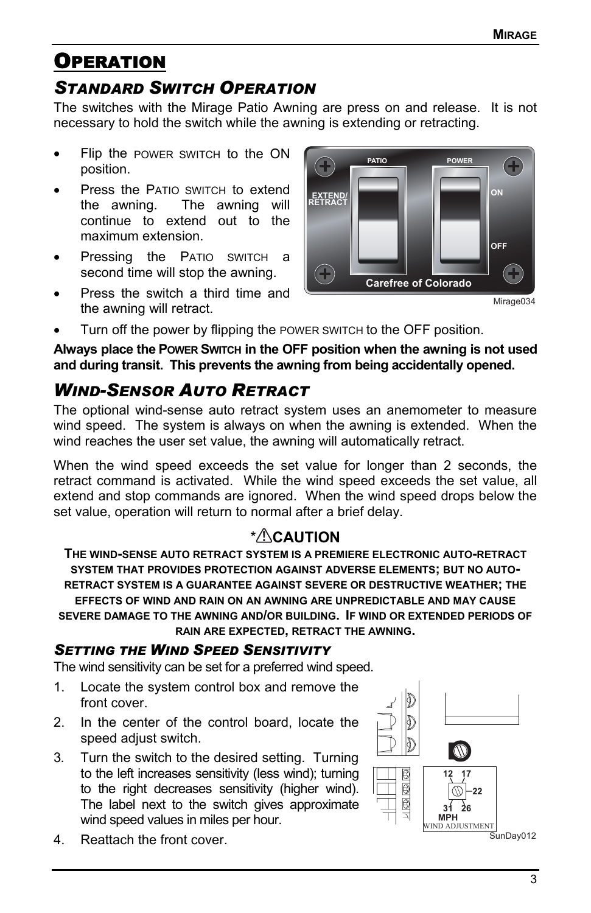## <span id="page-2-0"></span>**OPERATION**

### *STANDARD SWITCH OPERATION*

The switches with the Mirage Patio Awning are press on and release. It is not necessary to hold the switch while the awning is extending or retracting.

- Flip the POWER SWITCH to the ON position.
- Press the PATIO SWITCH to extend the awning. The awning will continue to extend out to the maximum extension.
- Pressing the PATIO SWITCH a second time will stop the awning.
- Press the switch a third time and the awning will retract.



Mirage034

Turn off the power by flipping the POWER SWITCH to the OFF position.

**Always place the POWER SWITCH in the OFF position when the awning is not used and during transit. This prevents the awning from being accidentally opened.** 

### *WIND-SENSOR AUTO RETRACT*

The optional wind-sense auto retract system uses an anemometer to measure wind speed. The system is always on when the awning is extended. When the wind reaches the user set value, the awning will automatically retract.

When the wind speed exceeds the set value for longer than 2 seconds, the retract command is activated. While the wind speed exceeds the set value, all extend and stop commands are ignored. When the wind speed drops below the set value, operation will return to normal after a brief delay.

#### \* **CAUTION**

**THE WIND-SENSE AUTO RETRACT SYSTEM IS A PREMIERE ELECTRONIC AUTO-RETRACT SYSTEM THAT PROVIDES PROTECTION AGAINST ADVERSE ELEMENTS; BUT NO AUTO-RETRACT SYSTEM IS A GUARANTEE AGAINST SEVERE OR DESTRUCTIVE WEATHER; THE EFFECTS OF WIND AND RAIN ON AN AWNING ARE UNPREDICTABLE AND MAY CAUSE SEVERE DAMAGE TO THE AWNING AND/OR BUILDING. IF WIND OR EXTENDED PERIODS OF RAIN ARE EXPECTED, RETRACT THE AWNING.** 

#### *SETTING THE WIND SPEED SENSITIVITY*

The wind sensitivity can be set for a preferred wind speed.

- 1. Locate the system control box and remove the front cover.
- 2. In the center of the control board, locate the speed adjust switch.
- 3. Turn the switch to the desired setting. Turning to the left increases sensitivity (less wind); turning to the right decreases sensitivity (higher wind). The label next to the switch gives approximate wind speed values in miles per hour.
- 4. Reattach the front cover.

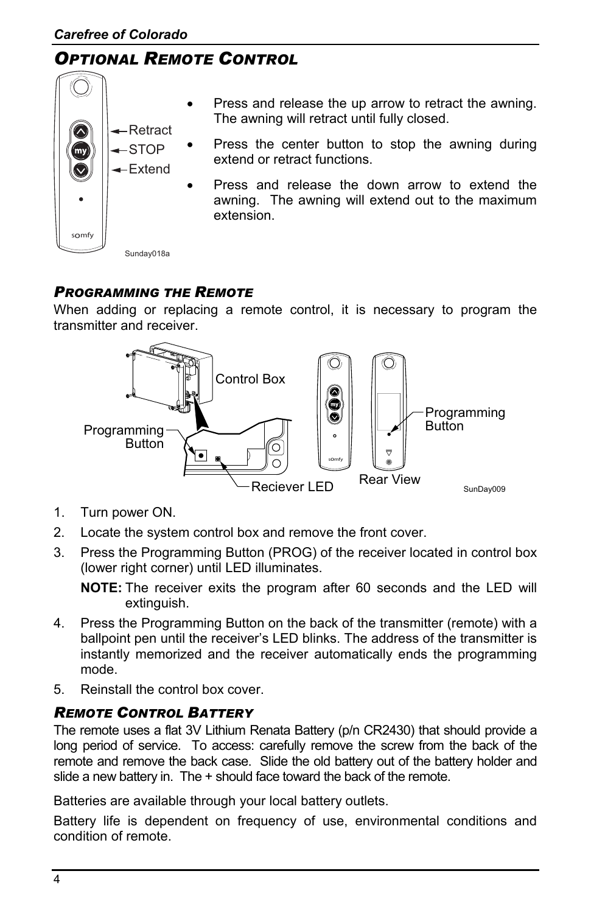### <span id="page-3-0"></span>*OPTIONAL REMOTE CONTROL*



- Press and release the up arrow to retract the awning. The awning will retract until fully closed.
- Press the center button to stop the awning during extend or retract functions.
	- Press and release the down arrow to extend the awning. The awning will extend out to the maximum extension.

Sunday018a

#### *PROGRAMMING THE REMOTE*

When adding or replacing a remote control, it is necessary to program the transmitter and receiver.



- 1. Turn power ON.
- 2. Locate the system control box and remove the front cover.
- 3. Press the Programming Button (PROG) of the receiver located in control box (lower right corner) until LED illuminates.

**NOTE:** The receiver exits the program after 60 seconds and the LED will extinguish.

- 4. Press the Programming Button on the back of the transmitter (remote) with a ballpoint pen until the receiver's LED blinks. The address of the transmitter is instantly memorized and the receiver automatically ends the programming mode.
- 5. Reinstall the control box cover.

#### *REMOTE CONTROL BATTERY*

The remote uses a flat 3V Lithium Renata Battery (p/n CR2430) that should provide a long period of service. To access: carefully remove the screw from the back of the remote and remove the back case. Slide the old battery out of the battery holder and slide a new battery in. The + should face toward the back of the remote.

Batteries are available through your local battery outlets.

Battery life is dependent on frequency of use, environmental conditions and condition of remote.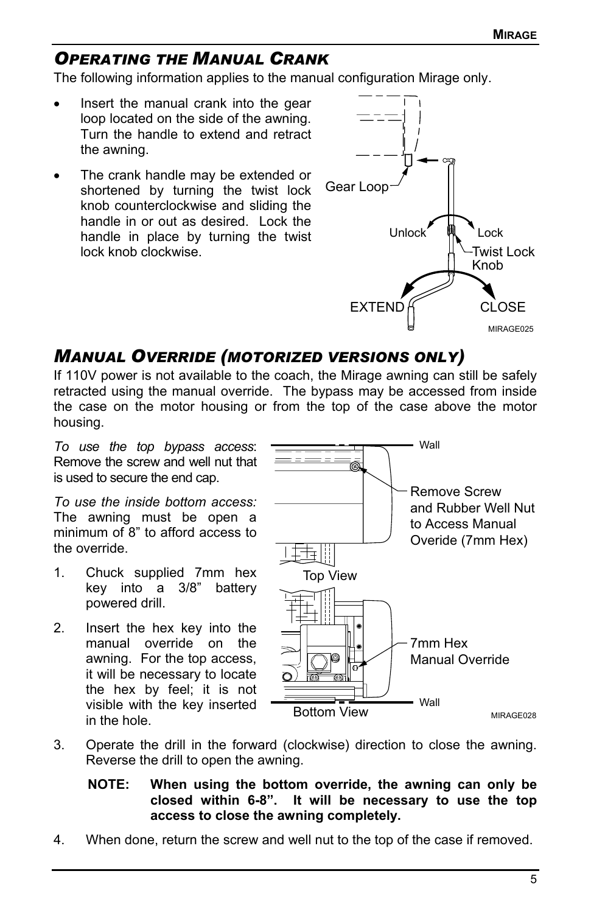### <span id="page-4-0"></span>*OPERATING THE MANUAL CRANK*

The following information applies to the manual configuration Mirage only.

- Insert the manual crank into the gear loop located on the side of the awning. Turn the handle to extend and retract the awning.
- The crank handle may be extended or shortened by turning the twist lock knob counterclockwise and sliding the handle in or out as desired. Lock the handle in place by turning the twist lock knob clockwise.



### *MANUAL OVERRIDE (MOTORIZED VERSIONS ONLY)*

If 110V power is not available to the coach, the Mirage awning can still be safely retracted using the manual override. The bypass may be accessed from inside the case on the motor housing or from the top of the case above the motor housing.

*To use the top bypass access*: Remove the screw and well nut that is used to secure the end cap.

*To use the inside bottom access:* The awning must be open a minimum of 8" to afford access to the override.

- 1. Chuck supplied 7mm hex key into a 3/8" battery powered drill.
- 2. Insert the hex key into the manual override on the awning. For the top access, it will be necessary to locate the hex by feel; it is not visible with the key inserted in the hole.



- 3. Operate the drill in the forward (clockwise) direction to close the awning. Reverse the drill to open the awning.
	- **NOTE: When using the bottom override, the awning can only be closed within 6-8". It will be necessary to use the top access to close the awning completely.**
- 4. When done, return the screw and well nut to the top of the case if removed.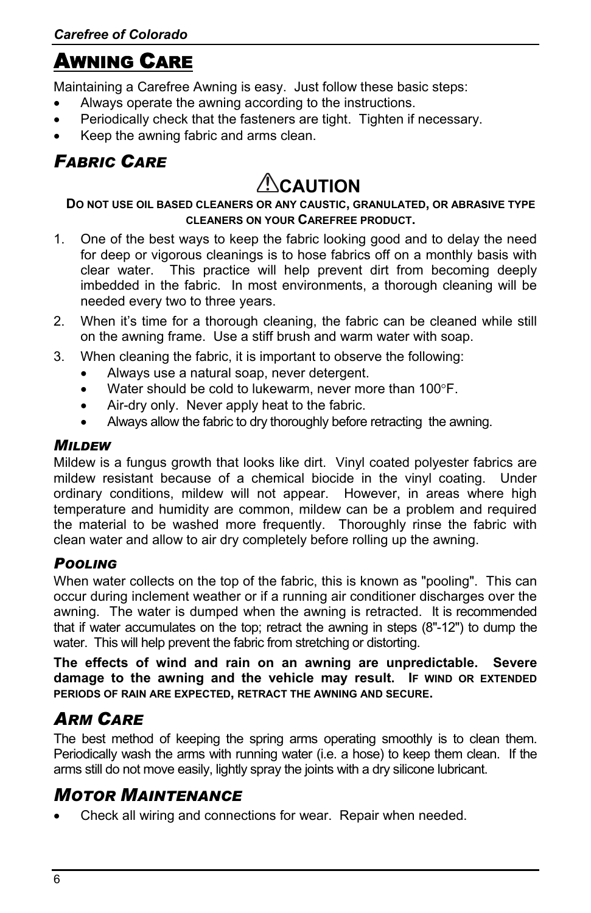## <span id="page-5-0"></span>AWNING CARE

Maintaining a Carefree Awning is easy. Just follow these basic steps:

- Always operate the awning according to the instructions.
- Periodically check that the fasteners are tight. Tighten if necessary.
- Keep the awning fabric and arms clean.

### *FABRIC CARE*

# **CAUTION**

#### **DO NOT USE OIL BASED CLEANERS OR ANY CAUSTIC, GRANULATED, OR ABRASIVE TYPE CLEANERS ON YOUR CAREFREE PRODUCT.**

- 1. One of the best ways to keep the fabric looking good and to delay the need for deep or vigorous cleanings is to hose fabrics off on a monthly basis with clear water. This practice will help prevent dirt from becoming deeply imbedded in the fabric. In most environments, a thorough cleaning will be needed every two to three years.
- 2. When it's time for a thorough cleaning, the fabric can be cleaned while still on the awning frame. Use a stiff brush and warm water with soap.
- 3. When cleaning the fabric, it is important to observe the following:
	- Always use a natural soap, never detergent.
	- Water should be cold to lukewarm, never more than 100°F.
	- Air-dry only. Never apply heat to the fabric.
	- Always allow the fabric to dry thoroughly before retracting the awning.

#### *MILDEW*

Mildew is a fungus growth that looks like dirt. Vinyl coated polyester fabrics are mildew resistant because of a chemical biocide in the vinyl coating. Under ordinary conditions, mildew will not appear. However, in areas where high temperature and humidity are common, mildew can be a problem and required the material to be washed more frequently. Thoroughly rinse the fabric with clean water and allow to air dry completely before rolling up the awning.

#### *POOLING*

When water collects on the top of the fabric, this is known as "pooling". This can occur during inclement weather or if a running air conditioner discharges over the awning. The water is dumped when the awning is retracted. It is recommended that if water accumulates on the top; retract the awning in steps (8"-12") to dump the water. This will help prevent the fabric from stretching or distorting.

**The effects of wind and rain on an awning are unpredictable. Severe damage to the awning and the vehicle may result. IF WIND OR EXTENDED PERIODS OF RAIN ARE EXPECTED, RETRACT THE AWNING AND SECURE.** 

## *ARM CARE*

The best method of keeping the spring arms operating smoothly is to clean them. Periodically wash the arms with running water (i.e. a hose) to keep them clean. If the arms still do not move easily, lightly spray the joints with a dry silicone lubricant.

### *MOTOR MAINTENANCE*

• Check all wiring and connections for wear. Repair when needed.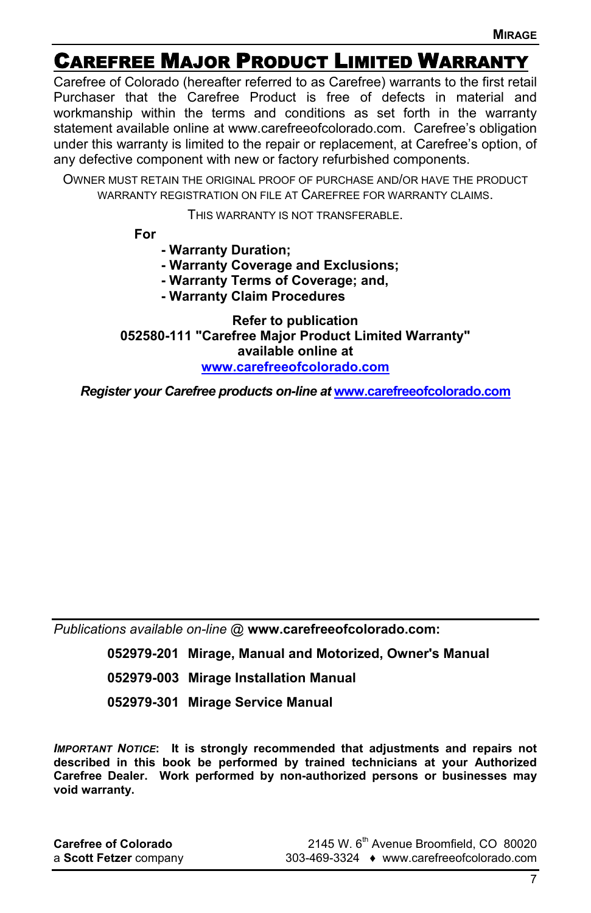## <span id="page-6-0"></span>CAREFREE MAJOR PRODUCT LIMITED WARRANTY

Carefree of Colorado (hereafter referred to as Carefree) warrants to the first retail Purchaser that the Carefree Product is free of defects in material and workmanship within the terms and conditions as set forth in the warranty statement available online at www.carefreeofcolorado.com. Carefree's obligation under this warranty is limited to the repair or replacement, at Carefree's option, of any defective component with new or factory refurbished components.

OWNER MUST RETAIN THE ORIGINAL PROOF OF PURCHASE AND/OR HAVE THE PRODUCT WARRANTY REGISTRATION ON FILE AT CAREFREE FOR WARRANTY CLAIMS.

THIS WARRANTY IS NOT TRANSFERABLE.

**For** 

- **Warranty Duration;**
- **Warranty Coverage and Exclusions;**
- **Warranty Terms of Coverage; and,**
- **Warranty Claim Procedures**

**Refer to publication 052580-111 "Carefree Major Product Limited Warranty" available online at [www.carefreeofcolorado.com](http://www.carefreeofcolorado.com/)**

*Register your Carefree products on-line at* **[www.carefreeofcolorado.com](http://www.carefreeofcolorado.com/)**

*Publications available on-line @* **www.carefreeofcolorado.com:**

**052979-201 Mirage, Manual and Motorized, Owner's Manual** 

- **052979-003 Mirage Installation Manual**
- **052979-301 Mirage Service Manual**

*IMPORTANT NOTICE***: It is strongly recommended that adjustments and repairs not described in this book be performed by trained technicians at your Authorized Carefree Dealer. Work performed by non-authorized persons or businesses may void warranty.** 

| <b>Carefree of Colorado</b> |  |
|-----------------------------|--|
| a Scott Fetzer company      |  |

**Carefree of Colorado** 2145 W. 6th Avenue Broomfield, CO 80020 a **Scott Fetzer** company 303-469-3324 ♦ www.carefreeofcolorado.com